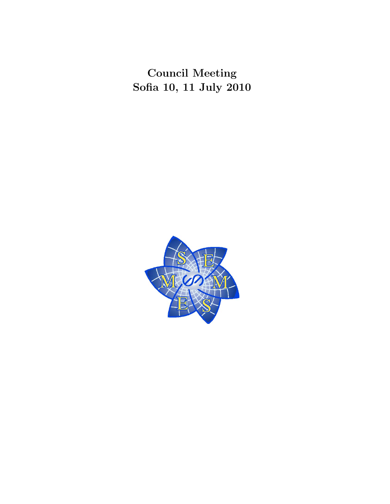Council Meeting Sofia 10, 11 July 2010

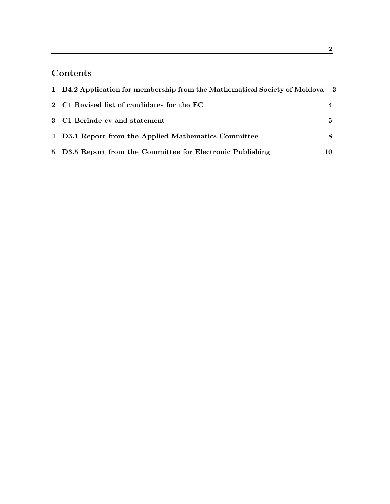# Contents

| 1 B4.2 Application for membership from the Mathematical Society of Moldova 3 |   |
|------------------------------------------------------------------------------|---|
| 2 C1 Revised list of candidates for the EC                                   |   |
| 3 C1 Berinde cv and statement                                                | 5 |
| 4 D3.1 Report from the Applied Mathematics Committee                         |   |
| 5 D3.5 Report from the Committee for Electronic Publishing                   |   |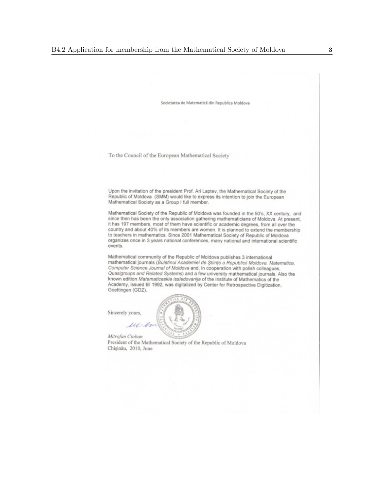Societatea de Matematică din Republica Moldova

To the Council of the European Mathematical Society

Upon the invitation of the president Prof. Ari Laptev, the Mathematical Society of the Republic of Moldova (SMM) would like to express its intention to join the European Mathematical Society as a Group I full member.

Mathematical Society of the Republic of Moldova was founded in the 50's, XX century, and since then has been the only association gathering mathematicians of Moldova. At present, it has 197 members, most of them have scientific or academic degrees, from all over the country and about 40% of its members are women. It is planned to extend the membership to teachers in mathematics. Since 2001 Mathematical Society of Republic of Moldova organizes once in 3 years national conferences, many national and international scientific events.

Mathematical community of the Republic of Moldova publishes 3 international mathematical journals (Buletinul Academiei de Științe a Republicii Moldova. Matematica, Computer Science Journal of Moldova and, in cooperation with polish colleagues, Quasigroups and Related Systems) and a few university mathematical journals. Also the known edition Matematiceskie issledovanija of the Institute of Mathematics of the Academy, issued till 1992, was digitalized by Center for Retrospective Digitization, Goettingen (GDZ).

Sincerely yours,

w

Mitrofan Cioban

President of the Mathematical Society of the Republic of Moldova Chișinău, 2010, June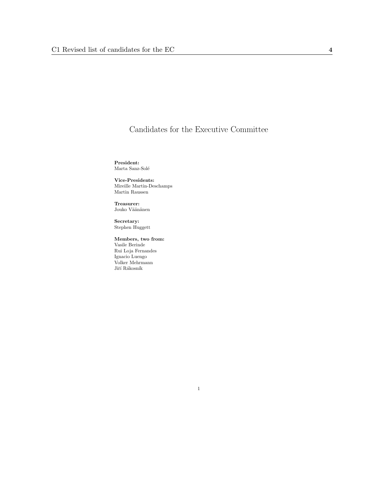## Candidates for the Executive Committee

President: Marta Sanz-Solé

Vice-Presidents: Mireille Martin-Deschamps Martin Raussen

Treasurer: Jouko Väänänen

Secretary: Stephen Huggett

Members, two from: Vasile Berinde Rui Loja Fernandes Ignacio Luengo Volker Mehrmann Jiří $\rm R\AA$ kosník

### 1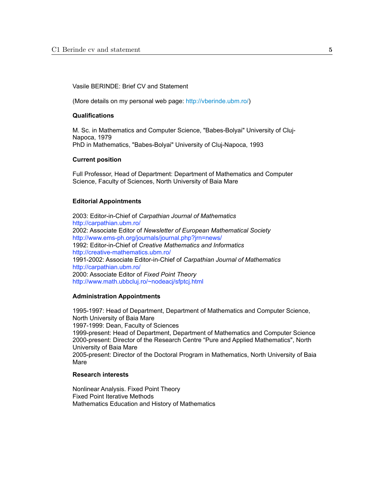#### Vasile BERINDE: Brief CV and Statement

(More details on my personal web page: http://vberinde.ubm.ro/)

#### **Qualifications**

M. Sc. in Mathematics and Computer Science, "Babes-Bolyai" University of Cluj-Napoca, 1979 PhD in Mathematics, "Babes-Bolyai" University of Cluj-Napoca, 1993

#### **Current position**

Full Professor, Head of Department: Department of Mathematics and Computer Science, Faculty of Sciences, North University of Baia Mare

#### **Editorial Appointments**

2003: Editor-in-Chief of *Carpathian Journal of Mathematics* http://carpathian.ubm.ro/ 2002: Associate Editor of *Newsletter of European Mathematical Society* http://www.ems-ph.org/journals/journal.php?jrn=news/ 1992: Editor-in-Chief of *Creative Mathematics and Informatics* http://creative-mathematics.ubm.ro/ 1991-2002: Associate Editor-in-Chief of *Carpathian Journal of Mathematics* http://carpathian.ubm.ro/ 2000: Associate Editor of *Fixed Point Theory* http://www.math.ubbcluj.ro/~nodeacj/sfptcj.html

#### **Administration Appointments**

1995-1997: Head of Department, Department of Mathematics and Computer Science, North University of Baia Mare 1997-1999: Dean, Faculty of Sciences 1999-present: Head of Department, Department of Mathematics and Computer Science 2000-present: Director of the Research Centre "Pure and Applied Mathematics", North University of Baia Mare 2005-present: Director of the Doctoral Program in Mathematics, North University of Baia Mare

#### **Research interests**

Nonlinear Analysis. Fixed Point Theory Fixed Point Iterative Methods Mathematics Education and History of Mathematics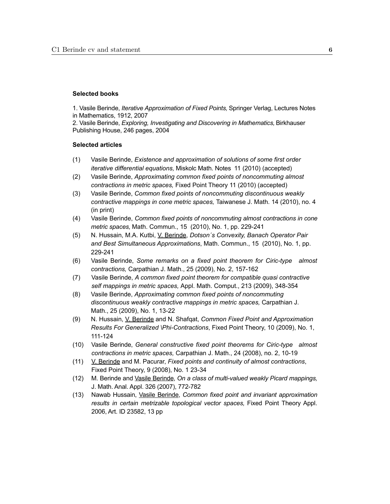#### **Selected books**

1. Vasile Berinde, *Iterative Approximation of Fixed Points,* Springer Verlag, Lectures Notes in Mathematics, 1912, 2007

2. Vasile Berinde, *Exploring, Investigating and Discovering in Mathematics,* Birkhauser Publishing House, 246 pages, 2004

#### **Selected articles**

- (1) Vasile Berinde, *Existence and approximation of solutions of some first order iterative differential equations,* Miskolc Math. Notes 11 (2010) (accepted)
- (2) Vasile Berinde, *Approximating common fixed points of noncommuting almost contractions in metric spaces,* Fixed Point Theory 11 (2010) (accepted)
- (3) Vasile Berinde, *Common fixed points of noncommuting discontinuous weakly contractive mappings in cone metric spaces,* Taiwanese J. Math. 14 (2010), no. 4 (in print)
- (4) Vasile Berinde, *Common fixed points of noncommuting almost contractions in cone metric spaces,* Math. Commun., 15 (2010), No. 1, pp. 229-241
- (5) N. Hussain, M.A. Kutbi, V. Berinde, *Dotson´s Convexity, Banach Operator Pair and Best Simultaneous Approximations*, Math. Commun., 15 (2010), No. 1, pp. 229-241
- (6) Vasile Berinde, *Some remarks on a fixed point theorem for Ciric-type almost contractions,* Carpathian J. Math., 25 (2009), No. 2, 157-162
- (7) Vasile Berinde, *A common fixed point theorem for compatible quasi contractive self mappings in metric spaces,* Appl. Math. Comput., 213 (2009), 348-354
- (8) Vasile Berinde, *Approximating common fixed points of noncommuting discontinuous weakly contractive mappings in metric spaces,* Carpathian J. Math., 25 (2009), No. 1, 13-22
- (9) N. Hussain, V. Berinde and N. Shafqat, *Common Fixed Point and Approximation Results For Generalized \Phi-Contractions*, Fixed Point Theory, 10 (2009), No. 1, 111-124
- (10) Vasile Berinde, *General constructive fixed point theorems for Ciric-type almost contractions in metric spaces,* Carpathian J. Math., 24 (2008), no. 2, 10-19
- (11) V. Berinde and M. Pacurar, *Fixed points and continuity of almost contractions*, Fixed Point Theory, 9 (2008), No. 1 23-34
- (12) M. Berinde and Vasile Berinde, *On a class of multi-valued weakly Picard mappings,*  J. Math. Anal. Appl. 326 (2007), 772-782
- (13) Nawab Hussain, Vasile Berinde, *Common fixed point and invariant approximation*  results in certain metrizable topological vector spaces, Fixed Point Theory Appl. 2006, Art. ID 23582, 13 pp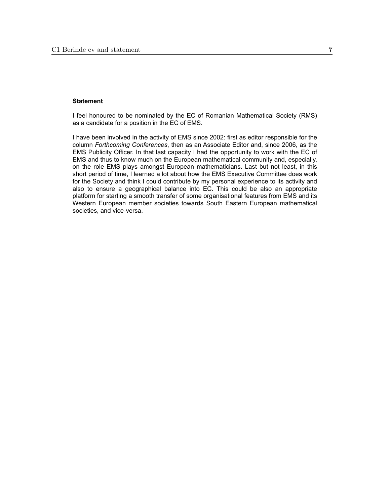#### **Statement**

I feel honoured to be nominated by the EC of Romanian Mathematical Society (RMS) as a candidate for a position in the EC of EMS.

I have been involved in the activity of EMS since 2002: first as editor responsible for the column *Forthcoming Conferences*, then as an Associate Editor and, since 2006, as the EMS Publicity Officer. In that last capacity I had the opportunity to work with the EC of EMS and thus to know much on the European mathematical community and, especially, on the role EMS plays amongst European mathematicians. Last but not least, in this short period of time, I learned a lot about how the EMS Executive Committee does work for the Society and think I could contribute by my personal experience to its activity and also to ensure a geographical balance into EC. This could be also an appropriate platform for starting a smooth transfer of some organisational features from EMS and its Western European member societies towards South Eastern European mathematical societies, and vice-versa.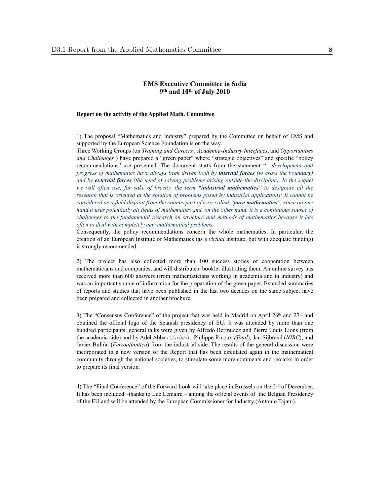#### **EMS Executive Committee in Sofia 9th and 10th of July 2010**

#### **Report on the activity of the Applied Math. Committee**

1) The proposal "Mathematics and Industry" prepared by the Committee on behalf of EMS and supported by the European Science Foundation is on the way.

Three Working Groups (on *Training and Careers* , *Academia-Industry Interfaces*, and *Opportunities and Challenges* ) have prepared a "green paper" where "strategic objectives" and specific "policy recommendations" are presented. The document starts from the statement "…*development and progress of mathematics have always been driven both by internal forces (to cross the boundary) and by external forces (the need of solving problems arising outside the discipline). In the sequel we will often use, for sake of brevity, the term "industrial mathematics" to designate all the research that is oriented at the solution of problems posed by industrial applications: It cannot be considered as a field disjoint from the counterpart of a so-called "pure mathematics", since on one hand it uses potentially all fields of mathematics and, on the other hand, it is a continuous source of challenges to the fundamental research on structure and methods of mathematics because it has often to deal with completely new mathematical problems.* 

Consequently, the policy recommendations concern the whole mathematics. In particular, the creation of an European Institute of Mathematics (as a *virtual* institute, but with adequate funding) is strongly recommended.

2) The project has also collected more than 100 success stories of cooperation between mathematicians and companies, and will distribute a booklet illustrating them. An online survey has received more than 600 answers (from mathematicians working in academia and in industry) and was an important source of information for the preparation of the green paper. Extended summaries of reports and studies that have been published in the last two decades on the same subject have been prepared and collected in another brochure.

3) The "Consensus Conference" of the project that was held in Madrid on April  $26<sup>th</sup>$  and  $27<sup>th</sup>$  and obtained the official logo of the Spanish presidency of EU. It was attended by more than one hundred participants; general talks were given by Alfredo Bermudez and Pierre Louis Lions (from the academic side) and by Adel Abbas (*Airbus*) , Philippe Ricoux *(Total*), Jan Sijbrand (*NIBC*), and Javier Bullòn (*Ferroatlantica*) from the industrial side. The results of the general discussion were incorporated in a new version of the Report that has been circulated again in the mathematical community through the national societies, to stimulate some more comments and remarks in order to prepare its final version.

4) The "Final Conference" of the Forward Look will take place in Brussels on the 2nd of December. It has been included –thanks to Luc Lemaire – among the official events of the Belgian Presidency of the EU and will be attended by the European Commissioner for Industry (Antonio Tajani).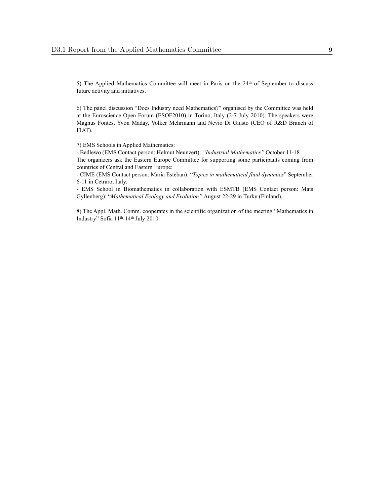5) The Applied Mathematics Committee will meet in Paris on the 24<sup>th</sup> of September to discuss future activity and initiatives.

6) The panel discussion "Does Industry need Mathematics?" organised by the Committee was held at the Euroscience Open Forum (ESOF2010) in Torino, Italy (2-7 July 2010). The speakers were Magnus Fontes, Yvon Maday, Volker Mehrmann and Nevio Di Giusto (CEO of R&D Branch of FIAT).

7) EMS Schools in Applied Mathematics:

- Bedlewo (EMS Contact person: Helmut Neunzert): *"Industrial Mathematics"* October 11-18 The organizers ask the Eastern Europe Committee for supporting some participants coming from countries of Central and Eastern Europe:

- CIME (EMS Contact person: Maria Esteban): "*Topics in mathematical fluid dynamics*" September 6-11 in Cetraro, Italy.

- EMS School in Biomathematics in collaboration with ESMTB (EMS Contact person: Mats Gyllenberg): "*Mathematical Ecology and Evolution"* August 22-29 in Turku (Finland).

8) The Appl. Math. Comm. cooperates in the scientific organization of the meeting "Mathematics in Industry" Sofia 11th-14th July 2010.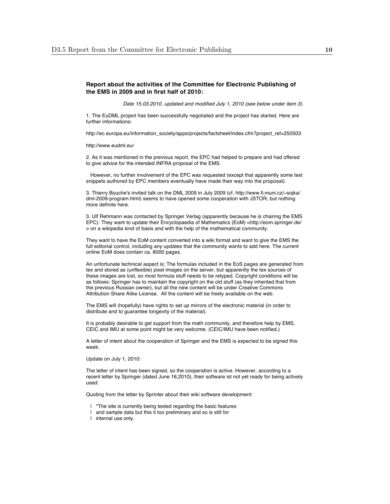#### **Report about the activities of the Committee for Electronic Publishing of the EMS in 2009 and in first half of 2010:**

*Date 15.03.2010, updated and modified July 1, 2010 (see below under item 3).*

1. The EuDML project has been successfully negotiated and the project has started. Here are further informations:

http://ec.europa.eu/information\_society/apps/projects/factsheet/index.cfm?project\_ref=250503

http://www.eudml.eu/

2. As it was mentioned in the previous report, the EPC had helped to prepare and had offered to give advice for the intended INFRA proposal of the EMS.

 However, no further involvement of the EPC was requested (except that apparently some text snippets authored by EPC members eventually have made their way into the proposal).

3. Thierry Bouche's invited talk on the DML 2009 in July 2009 (cf. http://www.fi.muni.cz/~sojka/ dml-2009-program.html) seems to have opened some cooperation with JSTOR, but nothing more definite here.

3. Ulf Rehmann was contacted by Springer Verlag (apparently because he is chairing the EMS EPC): They want to update their Encyclopaedia of Mathematics (EoM) <http://eom.springer.de/ > on a wikipedia kind of basis and with the help of the mathematical community.

They want to have the EoM content converted into a wiki format and want to give the EMS the full editorial control, including any updates that the community wants to add here. The current online EoM does contain ca. 8000 pages.

An unfortunate technical aspect is: The formulas included in the EoS pages are generated from tex and stored as (unflexible) pixel images on the server, but apparently the tex sources of these images are lost, so most formula stuff needs to be retyped. Copyright conditions will be as follows: Springer has to maintain the copyright on the old stuff (as they inherited that from the previous Russian owner), but all the new content will be under Creative Commons Attribution Share Alike License. All the content will be freely available on the web.

The EMS will (hopefully) have rights to set up mirrors of the electronic material (in order to distribute and to guarantee longevity of the material).

It is probably desirable to get support from the math community, and therefore help by EMS, CEIC and IMU at some point might be very welcome. (CEIC/IMU have been notified.)

A letter of intent about the cooperation of Springer and the EMS is expected to be signed this week.

Update on July 1, 2010:

The letter of intent has been signed, so the cooperation is active. However, according to a recent letter by Springer (dated June 16,2010), their software ist not yet ready for being actively used:

Quoting from the letter by Sprinter about their wiki software development:

- | "The site is currently being tested regarding the basic features
- | and sample data but this it too preliminary and so is still for
- | internal use only.